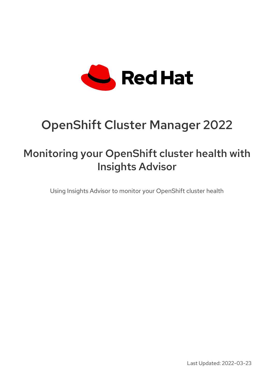

# OpenShift Cluster Manager 2022

# Monitoring your OpenShift cluster health with Insights Advisor

Using Insights Advisor to monitor your OpenShift cluster health

Last Updated: 2022-03-23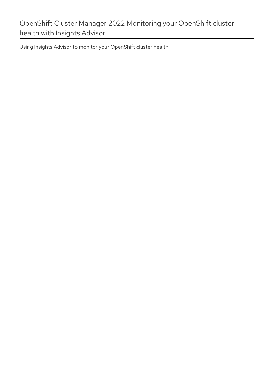# OpenShift Cluster Manager 2022 Monitoring your OpenShift cluster health with Insights Advisor

Using Insights Advisor to monitor your OpenShift cluster health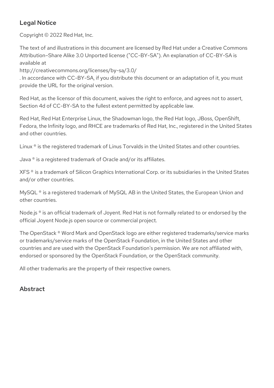## Legal Notice

Copyright © 2022 Red Hat, Inc.

The text of and illustrations in this document are licensed by Red Hat under a Creative Commons Attribution–Share Alike 3.0 Unported license ("CC-BY-SA"). An explanation of CC-BY-SA is available at

http://creativecommons.org/licenses/by-sa/3.0/

. In accordance with CC-BY-SA, if you distribute this document or an adaptation of it, you must provide the URL for the original version.

Red Hat, as the licensor of this document, waives the right to enforce, and agrees not to assert, Section 4d of CC-BY-SA to the fullest extent permitted by applicable law.

Red Hat, Red Hat Enterprise Linux, the Shadowman logo, the Red Hat logo, JBoss, OpenShift, Fedora, the Infinity logo, and RHCE are trademarks of Red Hat, Inc., registered in the United States and other countries.

Linux ® is the registered trademark of Linus Torvalds in the United States and other countries.

Java ® is a registered trademark of Oracle and/or its affiliates.

XFS ® is a trademark of Silicon Graphics International Corp. or its subsidiaries in the United States and/or other countries.

MySQL<sup>®</sup> is a registered trademark of MySQL AB in the United States, the European Union and other countries.

Node.js ® is an official trademark of Joyent. Red Hat is not formally related to or endorsed by the official Joyent Node.js open source or commercial project.

The OpenStack ® Word Mark and OpenStack logo are either registered trademarks/service marks or trademarks/service marks of the OpenStack Foundation, in the United States and other countries and are used with the OpenStack Foundation's permission. We are not affiliated with, endorsed or sponsored by the OpenStack Foundation, or the OpenStack community.

All other trademarks are the property of their respective owners.

## Abstract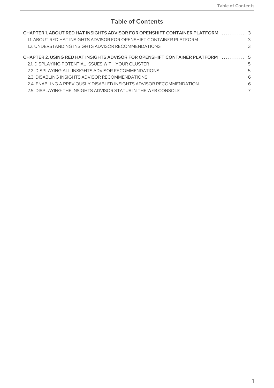## Table of Contents

| CHAPTER 1. ABOUT RED HAT INSIGHTS ADVISOR FOR OPENSHIFT CONTAINER PLATFORM  3 |  |
|-------------------------------------------------------------------------------|--|
| 1.1. ABOUT RED HAT INSIGHTS ADVISOR FOR OPENSHIFT CONTAINER PLATFORM          |  |
| 1.2. UNDERSTANDING INSIGHTS ADVISOR RECOMMENDATIONS                           |  |
| CHAPTER 2. USING RED HAT INSIGHTS ADVISOR FOR OPENSHIFT CONTAINER PLATFORM  5 |  |
| 2.1. DISPLAYING POTENTIAL ISSUES WITH YOUR CLUSTER                            |  |
| 2.2. DISPLAYING ALL INSIGHTS ADVISOR RECOMMENDATIONS                          |  |
| 2.3. DISABLING INSIGHTS ADVISOR RECOMMENDATIONS                               |  |
| 2.4. ENABLING A PREVIOUSLY DISABLED INSIGHTS ADVISOR RECOMMENDATION           |  |
| 2.5. DISPLAYING THE INSIGHTS ADVISOR STATUS IN THE WEB CONSOLE                |  |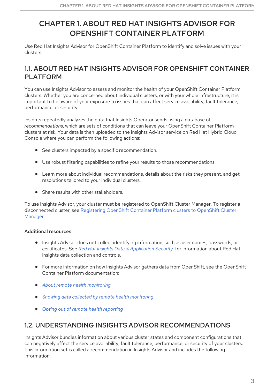# <span id="page-6-0"></span>CHAPTER 1. ABOUT RED HAT INSIGHTS ADVISOR FOR OPENSHIFT CONTAINER PLATFORM

Use Red Hat Insights Advisor for OpenShift Container Platform to identify and solve issues with your clusters.

## <span id="page-6-1"></span>1.1. ABOUT RED HAT INSIGHTS ADVISOR FOR OPENSHIFT CONTAINER PLATFORM

You can use Insights Advisor to assess and monitor the health of your OpenShift Container Platform clusters. Whether you are concerned about individual clusters, or with your whole infrastructure, it is important to be aware of your exposure to issues that can affect service availability, fault tolerance, performance, or security.

Insights repeatedly analyzes the data that Insights Operator sends using a database of *recommendations*, which are sets of conditions that can leave your OpenShift Container Platform clusters at risk. Your data is then uploaded to the Insights Advisor service on Red Hat Hybrid Cloud Console where you can perform the following actions:

- See clusters impacted by a specific recommendation.
- Use robust filtering capabilities to refine your results to those recommendations.
- Learn more about individual recommendations, details about the risks they present, and get resolutions tailored to your individual clusters.
- Share results with other stakeholders.

To use Insights Advisor, your cluster must be registered to OpenShift Cluster Manager. To register a [disconnected](https://access.redhat.com/documentation/en-us/openshift_cluster_manager/2022/html-single/managing_clusters/index#registering-openshift-container-platform-clusters_assembly-cluster-subscriptions) cluster, see Registering OpenShift Container Platform clusters to OpenShift Cluster Manager.

### Additional resources

- Insights Advisor does not collect identifying information, such as user names, passwords, or certificates. See *Red Hat Insights Data & [Application](https://console.redhat.com/security/insights) Security* for information about Red Hat Insights data collection and controls.
- For more information on how Insights Advisor gathers data from OpenShift, see the OpenShift Container Platform documentation:
- *About remote health [monitoring](https://access.redhat.com/documentation/en-us/openshift_container_platform/4.10/html/support/remote-health-monitoring-with-connected-clusters#about-remote-health-monitoring)*
- *Showing data collected by remote health [monitoring](https://access.redhat.com/documentation/en-us/openshift_container_platform/4.10/html/support/remote-health-monitoring-with-connected-clusters#showing-data-collected-by-remote-health-monitoring)*
- *Opting out of remote health [reporting](https://access.redhat.com/documentation/en-us/openshift_container_platform/4.10/html/support/remote-health-monitoring-with-connected-clusters#opting-out-remote-health-reporting)*

## <span id="page-6-2"></span>1.2. UNDERSTANDING INSIGHTS ADVISOR RECOMMENDATIONS

Insights Advisor bundles information about various cluster states and component configurations that can negatively affect the service availability, fault tolerance, performance, or security of your clusters. This information set is called a recommendation in Insights Advisor and includes the following information: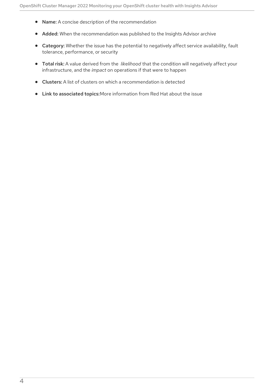- Name: A concise description of the recommendation
- Added: When the recommendation was published to the Insights Advisor archive
- Category: Whether the issue has the potential to negatively affect service availability, fault tolerance, performance, or security
- Total risk: A value derived from the *likelihood* that the condition will negatively affect your infrastructure, and the *impact* on operations if that were to happen
- Clusters: A list of clusters on which a recommendation is detected
- Link to associated topics:More information from Red Hat about the issue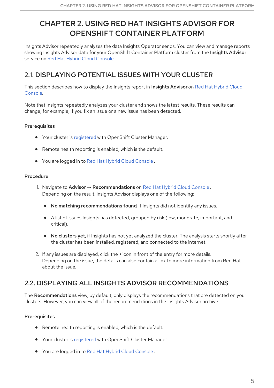# <span id="page-8-0"></span>CHAPTER 2. USING RED HAT INSIGHTS ADVISOR FOR OPENSHIFT CONTAINER PLATFORM

Insights Advisor repeatedly analyzes the data Insights Operator sends. You can view and manage reports showing Insights Advisor data for your OpenShift Container Platform cluster from the Insights Advisor service on Red Hat Hybrid Cloud [Console](https://console.redhat.com/openshift/) .

## <span id="page-8-1"></span>2.1. DISPLAYING POTENTIAL ISSUES WITH YOUR CLUSTER

This section [describes](https://console.redhat.com/openshift/) how to display the Insights report in Insights Advisor on Red Hat Hybrid Cloud Console.

Note that Insights repeatedly analyzes your cluster and shows the latest results. These results can change, for example, if you fix an issue or a new issue has been detected.

### Prerequisites

- Your cluster is [registered](https://console.redhat.com/openshift/register/) with OpenShift Cluster Manager.
- Remote health reporting is enabled, which is the default.
- You are logged in to Red Hat Hybrid Cloud [Console](https://console.redhat.com/openshift/) .

#### Procedure

- 1. Navigate to Advisor → Recommendations on Red Hat Hybrid Cloud [Console](https://console.redhat.com/openshift/). Depending on the result, Insights Advisor displays one of the following:
	- No matching recommendations found, if Insights did not identify any issues.
	- A list of issues Insights has detected, grouped by risk (low, moderate, important, and critical).
	- No clusters yet, if Insights has not yet analyzed the cluster. The analysis starts shortly after the cluster has been installed, registered, and connected to the internet.
- 2. If any issues are displayed, click the > icon in front of the entry for more details. Depending on the issue, the details can also contain a link to more information from Red Hat about the issue.

## <span id="page-8-2"></span>2.2. DISPLAYING ALL INSIGHTS ADVISOR RECOMMENDATIONS

The Recommendations view, by default, only displays the recommendations that are detected on your clusters. However, you can view all of the recommendations in the Insights Advisor archive.

### **Prerequisites**

- Remote health reporting is enabled, which is the default.
- Your cluster is [registered](https://console.redhat.com/openshift/register/) with OpenShift Cluster Manager.
- You are logged in to Red Hat Hybrid Cloud [Console](https://console.redhat.com/openshift/) .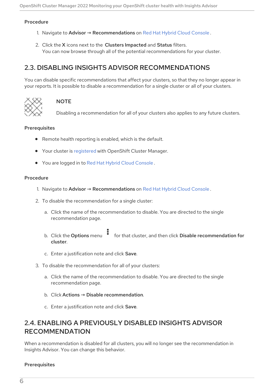#### Procedure

- 1. Navigate to Advisor → Recommendations on Red Hat Hybrid Cloud [Console](https://console.redhat.com/openshift/).
- 2. Click the X icons next to the Clusters Impacted and Status filters. You can now browse through all of the potential recommendations for your cluster.

## <span id="page-9-0"></span>2.3. DISABLING INSIGHTS ADVISOR RECOMMENDATIONS

You can disable specific recommendations that affect your clusters, so that they no longer appear in your reports. It is possible to disable a recommendation for a single cluster or all of your clusters.



### **NOTE**

Disabling a recommendation for all of your clusters also applies to any future clusters.

#### **Prerequisites**

- Remote health reporting is enabled, which is the default.
- Your cluster is [registered](https://console.redhat.com/openshift/register/) with OpenShift Cluster Manager.
- You are logged in to Red Hat Hybrid Cloud [Console](https://console.redhat.com/openshift/) .

#### Procedure

- 1. Navigate to Advisor → Recommendations on Red Hat Hybrid Cloud [Console](https://console.redhat.com/openshift/).
- 2. To disable the recommendation for a single cluster:
	- a. Click the name of the recommendation to disable. You are directed to the single recommendation page.
	- b. Click the Options menu **for that cluster**, and then click Disable recommendation for cluster.
	- c. Enter a justification note and click Save.
- 3. To disable the recommendation for all of your clusters:
	- a. Click the name of the recommendation to disable. You are directed to the single recommendation page.
	- b. Click Actions → Disable recommendation.
	- c. Enter a justification note and click Save.

## <span id="page-9-1"></span>2.4. ENABLING A PREVIOUSLY DISABLED INSIGHTS ADVISOR RECOMMENDATION

When a recommendation is disabled for all clusters, you will no longer see the recommendation in Insights Advisor. You can change this behavior.

#### **Prerequisites**